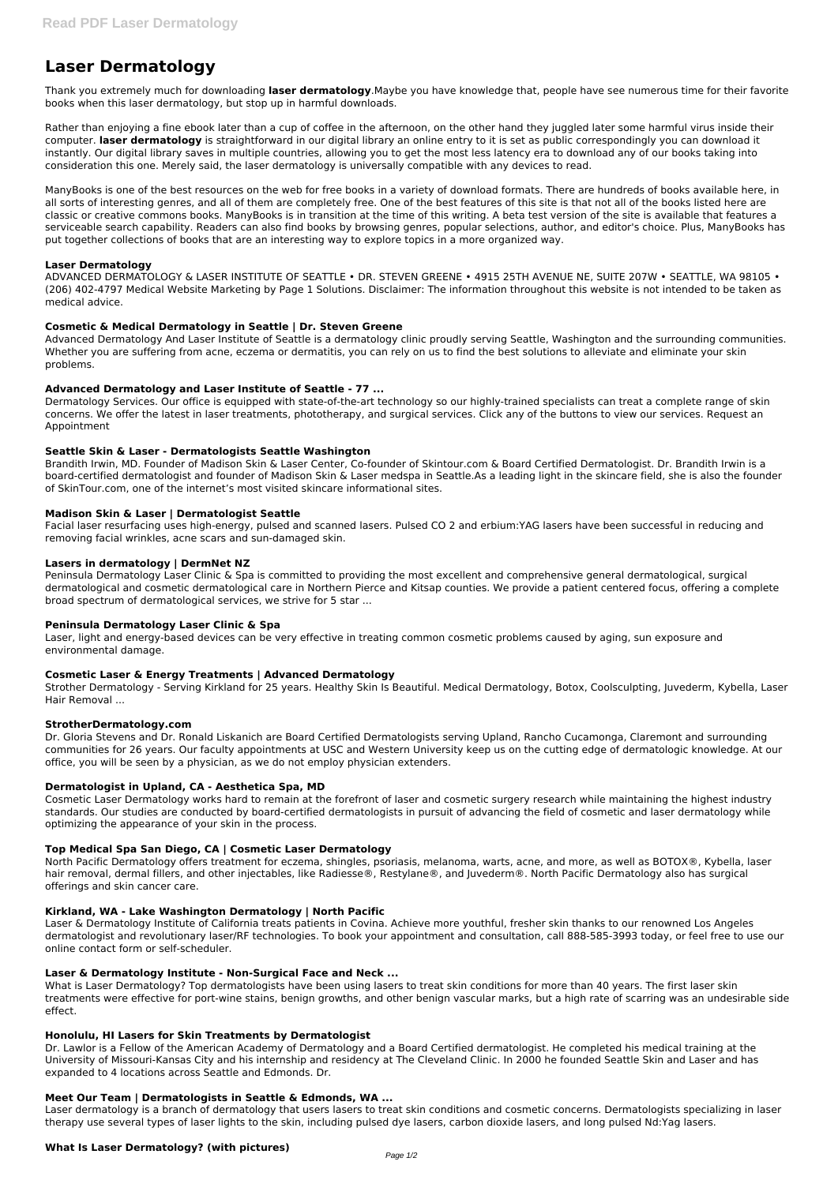# **Laser Dermatology**

Thank you extremely much for downloading **laser dermatology**.Maybe you have knowledge that, people have see numerous time for their favorite books when this laser dermatology, but stop up in harmful downloads.

Rather than enjoying a fine ebook later than a cup of coffee in the afternoon, on the other hand they juggled later some harmful virus inside their computer. **laser dermatology** is straightforward in our digital library an online entry to it is set as public correspondingly you can download it instantly. Our digital library saves in multiple countries, allowing you to get the most less latency era to download any of our books taking into consideration this one. Merely said, the laser dermatology is universally compatible with any devices to read.

ManyBooks is one of the best resources on the web for free books in a variety of download formats. There are hundreds of books available here, in all sorts of interesting genres, and all of them are completely free. One of the best features of this site is that not all of the books listed here are classic or creative commons books. ManyBooks is in transition at the time of this writing. A beta test version of the site is available that features a serviceable search capability. Readers can also find books by browsing genres, popular selections, author, and editor's choice. Plus, ManyBooks has put together collections of books that are an interesting way to explore topics in a more organized way.

## **Laser Dermatology**

ADVANCED DERMATOLOGY & LASER INSTITUTE OF SEATTLE • DR. STEVEN GREENE • 4915 25TH AVENUE NE, SUITE 207W • SEATTLE, WA 98105 • (206) 402-4797 Medical Website Marketing by Page 1 Solutions. Disclaimer: The information throughout this website is not intended to be taken as medical advice.

# **Cosmetic & Medical Dermatology in Seattle | Dr. Steven Greene**

Advanced Dermatology And Laser Institute of Seattle is a dermatology clinic proudly serving Seattle, Washington and the surrounding communities. Whether you are suffering from acne, eczema or dermatitis, you can rely on us to find the best solutions to alleviate and eliminate your skin problems.

# **Advanced Dermatology and Laser Institute of Seattle - 77 ...**

Dermatology Services. Our office is equipped with state-of-the-art technology so our highly-trained specialists can treat a complete range of skin concerns. We offer the latest in laser treatments, phototherapy, and surgical services. Click any of the buttons to view our services. Request an Appointment

## **Seattle Skin & Laser - Dermatologists Seattle Washington**

Brandith Irwin, MD. Founder of Madison Skin & Laser Center, Co-founder of Skintour.com & Board Certified Dermatologist. Dr. Brandith Irwin is a board-certified dermatologist and founder of Madison Skin & Laser medspa in Seattle.As a leading light in the skincare field, she is also the founder of SkinTour.com, one of the internet's most visited skincare informational sites.

## **Madison Skin & Laser | Dermatologist Seattle**

Facial laser resurfacing uses high-energy, pulsed and scanned lasers. Pulsed CO 2 and erbium:YAG lasers have been successful in reducing and removing facial wrinkles, acne scars and sun-damaged skin.

## **Lasers in dermatology | DermNet NZ**

Peninsula Dermatology Laser Clinic & Spa is committed to providing the most excellent and comprehensive general dermatological, surgical dermatological and cosmetic dermatological care in Northern Pierce and Kitsap counties. We provide a patient centered focus, offering a complete broad spectrum of dermatological services, we strive for 5 star ...

## **Peninsula Dermatology Laser Clinic & Spa**

Laser, light and energy-based devices can be very effective in treating common cosmetic problems caused by aging, sun exposure and environmental damage.

## **Cosmetic Laser & Energy Treatments | Advanced Dermatology**

Strother Dermatology - Serving Kirkland for 25 years. Healthy Skin Is Beautiful. Medical Dermatology, Botox, Coolsculpting, Juvederm, Kybella, Laser Hair Removal ...

## **StrotherDermatology.com**

Dr. Gloria Stevens and Dr. Ronald Liskanich are Board Certified Dermatologists serving Upland, Rancho Cucamonga, Claremont and surrounding communities for 26 years. Our faculty appointments at USC and Western University keep us on the cutting edge of dermatologic knowledge. At our office, you will be seen by a physician, as we do not employ physician extenders.

## **Dermatologist in Upland, CA - Aesthetica Spa, MD**

Cosmetic Laser Dermatology works hard to remain at the forefront of laser and cosmetic surgery research while maintaining the highest industry standards. Our studies are conducted by board-certified dermatologists in pursuit of advancing the field of cosmetic and laser dermatology while optimizing the appearance of your skin in the process.

## **Top Medical Spa San Diego, CA | Cosmetic Laser Dermatology**

North Pacific Dermatology offers treatment for eczema, shingles, psoriasis, melanoma, warts, acne, and more, as well as BOTOX®, Kybella, laser hair removal, dermal fillers, and other injectables, like Radiesse®, Restylane®, and Juvederm®. North Pacific Dermatology also has surgical offerings and skin cancer care.

#### **Kirkland, WA - Lake Washington Dermatology | North Pacific**

Laser & Dermatology Institute of California treats patients in Covina. Achieve more youthful, fresher skin thanks to our renowned Los Angeles dermatologist and revolutionary laser/RF technologies. To book your appointment and consultation, call 888-585-3993 today, or feel free to use our online contact form or self-scheduler.

#### **Laser & Dermatology Institute - Non-Surgical Face and Neck ...**

What is Laser Dermatology? Top dermatologists have been using lasers to treat skin conditions for more than 40 years. The first laser skin treatments were effective for port-wine stains, benign growths, and other benign vascular marks, but a high rate of scarring was an undesirable side effect.

#### **Honolulu, HI Lasers for Skin Treatments by Dermatologist**

Dr. Lawlor is a Fellow of the American Academy of Dermatology and a Board Certified dermatologist. He completed his medical training at the University of Missouri-Kansas City and his internship and residency at The Cleveland Clinic. In 2000 he founded Seattle Skin and Laser and has expanded to 4 locations across Seattle and Edmonds. Dr.

#### **Meet Our Team | Dermatologists in Seattle & Edmonds, WA ...**

Laser dermatology is a branch of dermatology that users lasers to treat skin conditions and cosmetic concerns. Dermatologists specializing in laser therapy use several types of laser lights to the skin, including pulsed dye lasers, carbon dioxide lasers, and long pulsed Nd:Yag lasers.

#### **What Is Laser Dermatology? (with pictures)**